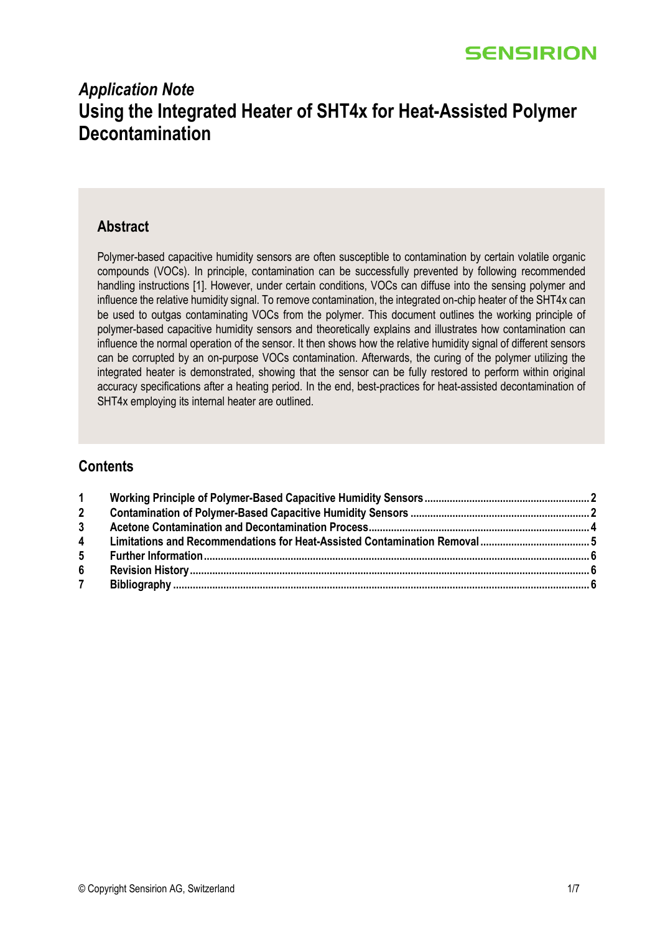# *Application Note* **Using the Integrated Heater of SHT4x for Heat-Assisted Polymer Decontamination**

### **Abstract**

Polymer-based capacitive humidity sensors are often susceptible to contamination by certain volatile organic compounds (VOCs). In principle, contamination can be successfully prevented by following recommended handling instructions [1]. However, under certain conditions, VOCs can diffuse into the sensing polymer and influence the relative humidity signal. To remove contamination, the integrated on-chip heater of the SHT4x can be used to outgas contaminating VOCs from the polymer. This document outlines the working principle of polymer-based capacitive humidity sensors and theoretically explains and illustrates how contamination can influence the normal operation of the sensor. It then shows how the relative humidity signal of different sensors can be corrupted by an on-purpose VOCs contamination. Afterwards, the curing of the polymer utilizing the integrated heater is demonstrated, showing that the sensor can be fully restored to perform within original accuracy specifications after a heating period. In the end, best-practices for heat-assisted decontamination of SHT4x employing its internal heater are outlined.

## **Contents**

| 1              |  |
|----------------|--|
| $2^{\circ}$    |  |
| 3 <sup>1</sup> |  |
| $\overline{4}$ |  |
| 5 <sub>5</sub> |  |
| 6 <sup>1</sup> |  |
| $\overline{7}$ |  |
|                |  |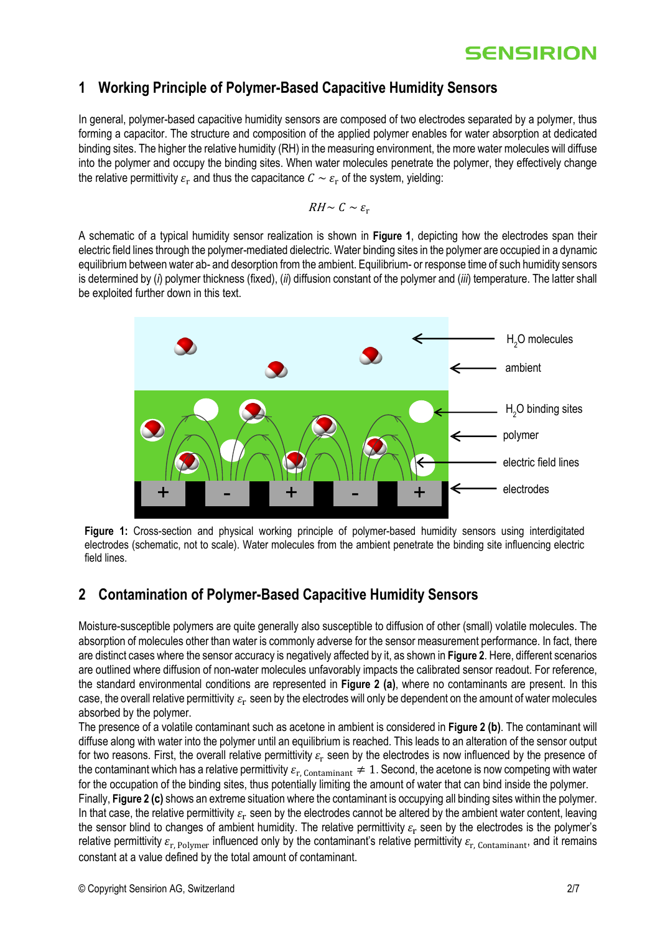## <span id="page-1-0"></span>**1 Working Principle of Polymer-Based Capacitive Humidity Sensors**

In general, polymer-based capacitive humidity sensors are composed of two electrodes separated by a polymer, thus forming a capacitor. The structure and composition of the applied polymer enables for water absorption at dedicated binding sites. The higher the relative humidity (RH) in the measuring environment, the more water molecules will diffuse into the polymer and occupy the binding sites. When water molecules penetrate the polymer, they effectively change the relative permittivity  $\varepsilon_r$  and thus the capacitance  $C \sim \varepsilon_r$  of the system, yielding:

$$
RH \sim C \sim \varepsilon_{\rm r}
$$

A schematic of a typical humidity sensor realization is shown in **[Figure 1](#page-1-2)**, depicting how the electrodes span their electric field lines through the polymer-mediated dielectric. Water binding sites in the polymer are occupied in a dynamic equilibrium between water ab- and desorption from the ambient. Equilibrium- or response time of such humidity sensors is determined by (*i*) polymer thickness (fixed), (*ii*) diffusion constant of the polymer and (*iii*) temperature. The latter shall be exploited further down in this text.



<span id="page-1-2"></span>**Figure 1:** Cross-section and physical working principle of polymer-based humidity sensors using interdigitated electrodes (schematic, not to scale). Water molecules from the ambient penetrate the binding site influencing electric field lines.

## <span id="page-1-1"></span>**2 Contamination of Polymer-Based Capacitive Humidity Sensors**

Moisture-susceptible polymers are quite generally also susceptible to diffusion of other (small) volatile molecules. The absorption of molecules other than water is commonly adverse for the sensor measurement performance. In fact, there are distinct cases where the sensor accuracy is negatively affected by it, as shown in **[Figure 2](#page-2-0)**. Here, different scenarios are outlined where diffusion of non-water molecules unfavorably impacts the calibrated sensor readout. For reference, the standard environmental conditions are represented in **[Figure 2](#page-2-0) (a)**, where no contaminants are present. In this case, the overall relative permittivity  $\varepsilon_{\rm r}$  seen by the electrodes will only be dependent on the amount of water molecules absorbed by the polymer.

The presence of a volatile contaminant such as acetone in ambient is considered in **[Figure 2](#page-2-0) (b)**. The contaminant will diffuse along with water into the polymer until an equilibrium is reached. This leads to an alteration of the sensor output for two reasons. First, the overall relative permittivity  $\varepsilon_{\rm r}$  seen by the electrodes is now influenced by the presence of the contaminant which has a relative permittivity  $\varepsilon_{r, \text{Continant}} \neq 1$ . Second, the acetone is now competing with water for the occupation of the binding sites, thus potentially limiting the amount of water that can bind inside the polymer.

Finally, **[Figure 2](#page-2-0) (c)** shows an extreme situation where the contaminant is occupying all binding sites within the polymer. In that case, the relative permittivity  $\varepsilon_{\rm r}$  seen by the electrodes cannot be altered by the ambient water content, leaving the sensor blind to changes of ambient humidity. The relative permittivity  $\varepsilon_{\rm r}$  seen by the electrodes is the polymer's relative permittivity  $\varepsilon_{r,$  Polymer influenced only by the contaminant's relative permittivity  $\varepsilon_{r,$  Contaminant, and it remains constant at a value defined by the total amount of contaminant.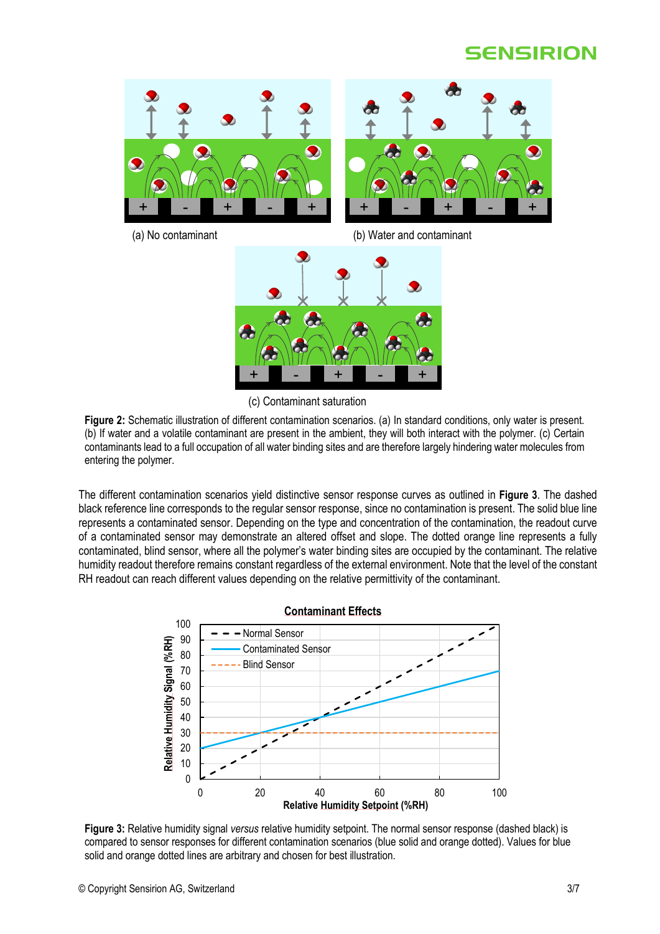

(a) No contaminant (b) Water and contaminant



(c) Contaminant saturation

<span id="page-2-0"></span>**Figure 2:** Schematic illustration of different contamination scenarios. (a) In standard conditions, only water is present. (b) If water and a volatile contaminant are present in the ambient, they will both interact with the polymer. (c) Certain contaminants lead to a full occupation of all water binding sites and are therefore largely hindering water molecules from entering the polymer.

The different contamination scenarios yield distinctive sensor response curves as outlined in **[Figure 3](#page-2-1)**. The dashed black reference line corresponds to the regular sensor response, since no contamination is present. The solid blue line represents a contaminated sensor. Depending on the type and concentration of the contamination, the readout curve of a contaminated sensor may demonstrate an altered offset and slope. The dotted orange line represents a fully contaminated, blind sensor, where all the polymer's water binding sites are occupied by the contaminant. The relative humidity readout therefore remains constant regardless of the external environment. Note that the level of the constant RH readout can reach different values depending on the relative permittivity of the contaminant.



<span id="page-2-1"></span>**Figure 3:** Relative humidity signal *versus* relative humidity setpoint. The normal sensor response (dashed black) is compared to sensor responses for different contamination scenarios (blue solid and orange dotted). Values for blue solid and orange dotted lines are arbitrary and chosen for best illustration.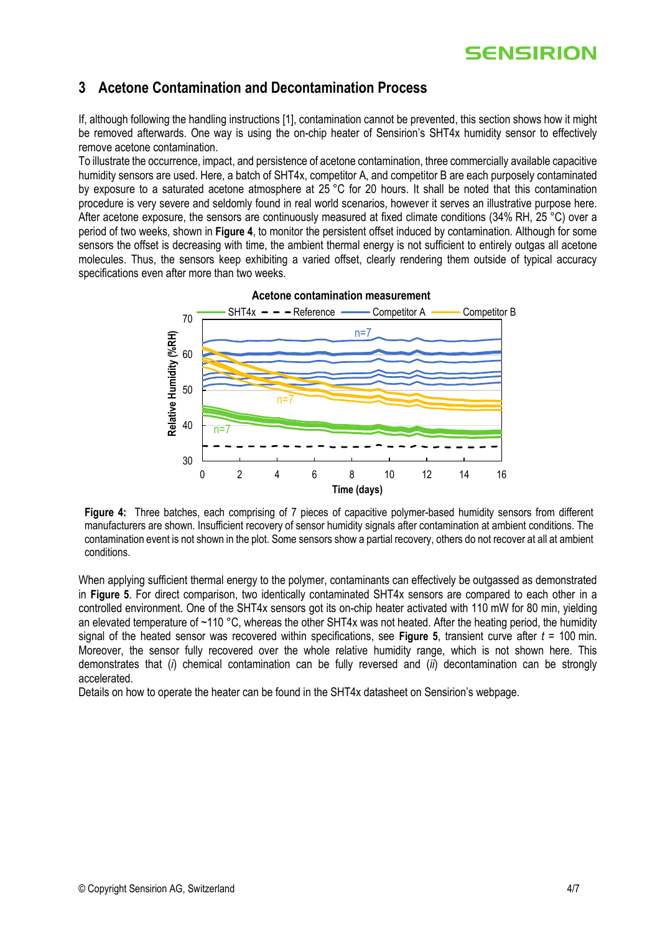## <span id="page-3-0"></span>**3 Acetone Contamination and Decontamination Process**

If, although following the handling instructions [1], contamination cannot be prevented, this section shows how it might be removed afterwards. One way is using the on-chip heater of Sensirion's SHT4x humidity sensor to effectively remove acetone contamination.

To illustrate the occurrence, impact, and persistence of acetone contamination, three commercially available capacitive humidity sensors are used. Here, a batch of SHT4x, competitor A, and competitor B are each purposely contaminated by exposure to a saturated acetone atmosphere at 25 °C for 20 hours. It shall be noted that this contamination procedure is very severe and seldomly found in real world scenarios, however it serves an illustrative purpose here. After acetone exposure, the sensors are continuously measured at fixed climate conditions (34% RH, 25 °C) over a period of two weeks, shown in **[Figure 4](#page-3-1)**, to monitor the persistent offset induced by contamination. Although for some sensors the offset is decreasing with time, the ambient thermal energy is not sufficient to entirely outgas all acetone molecules. Thus, the sensors keep exhibiting a varied offset, clearly rendering them outside of typical accuracy specifications even after more than two weeks.



**Acetone contamination measurement** 

<span id="page-3-1"></span>**Figure 4:** Three batches, each comprising of 7 pieces of capacitive polymer-based humidity sensors from different manufacturers are shown. Insufficient recovery of sensor humidity signals after contamination at ambient conditions. The contamination event is not shown in the plot. Some sensors show a partial recovery, others do not recover at all at ambient conditions.

When applying sufficient thermal energy to the polymer, contaminants can effectively be outgassed as demonstrated in **[Figure 5](#page-4-1)**. For direct comparison, two identically contaminated SHT4x sensors are compared to each other in a controlled environment. One of the SHT4x sensors got its on-chip heater activated with 110 mW for 80 min, yielding an elevated temperature of ~110 °C, whereas the other SHT4x was not heated. After the heating period, the humidity signal of the heated sensor was recovered within specifications, see **[Figure 5](#page-4-1)**, transient curve after *t* = 100 min. Moreover, the sensor fully recovered over the whole relative humidity range, which is not shown here. This demonstrates that (*i*) chemical contamination can be fully reversed and (*ii*) decontamination can be strongly accelerated.

Details on how to operate the heater can be found in the SHT4x datasheet on Sensirion's webpage.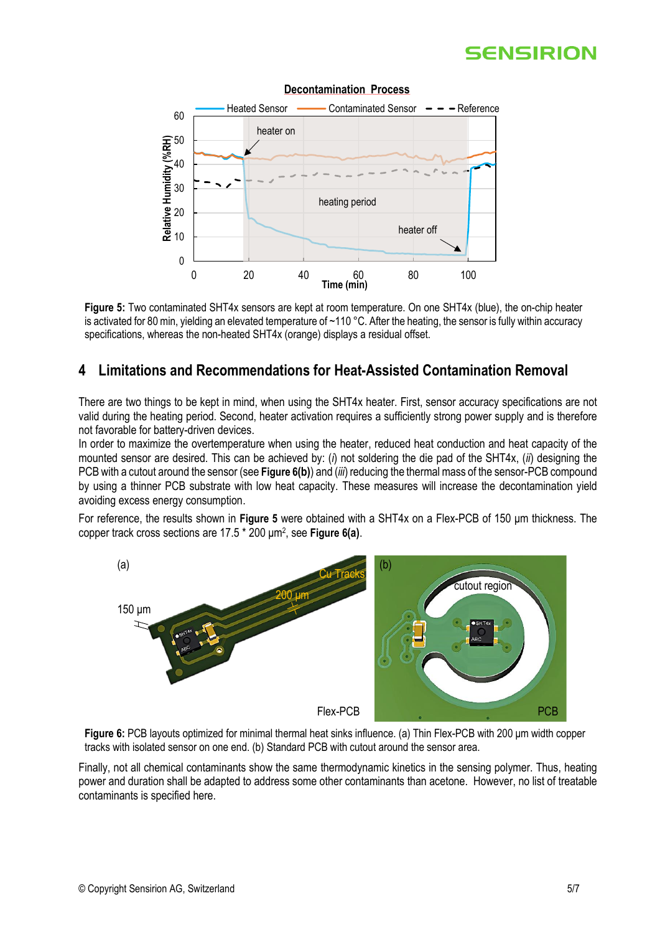

### **Decontamination Process**

<span id="page-4-1"></span>**Figure 5:** Two contaminated SHT4x sensors are kept at room temperature. On one SHT4x (blue), the on-chip heater is activated for 80 min, yielding an elevated temperature of ~110 °C. After the heating, the sensor is fully within accuracy specifications, whereas the non-heated SHT4x (orange) displays a residual offset.

### <span id="page-4-0"></span>**4 Limitations and Recommendations for Heat-Assisted Contamination Removal**

There are two things to be kept in mind, when using the SHT4x heater. First, sensor accuracy specifications are not valid during the heating period. Second, heater activation requires a sufficiently strong power supply and is therefore not favorable for battery-driven devices.

In order to maximize the overtemperature when using the heater, reduced heat conduction and heat capacity of the mounted sensor are desired. This can be achieved by: (*i*) not soldering the die pad of the SHT4x, (*ii*) designing the PCB with a cutout around the sensor (see **[Figure 6](#page-4-2)(b)**) and (*iii*) reducing the thermal mass of the sensor-PCB compound by using a thinner PCB substrate with low heat capacity. These measures will increase the decontamination yield avoiding excess energy consumption.

For reference, the results shown in **[Figure 5](#page-4-1)** were obtained with a SHT4x on a Flex-PCB of 150 μm thickness. The copper track cross sections are 17.5 \* 200 μm<sup>2</sup> , see **[Figure 6](#page-4-2)(a)**.



<span id="page-4-2"></span>**Figure 6:** PCB layouts optimized for minimal thermal heat sinks influence. (a) Thin Flex-PCB with 200 μm width copper tracks with isolated sensor on one end. (b) Standard PCB with cutout around the sensor area.

Finally, not all chemical contaminants show the same thermodynamic kinetics in the sensing polymer. Thus, heating power and duration shall be adapted to address some other contaminants than acetone. However, no list of treatable contaminants is specified here.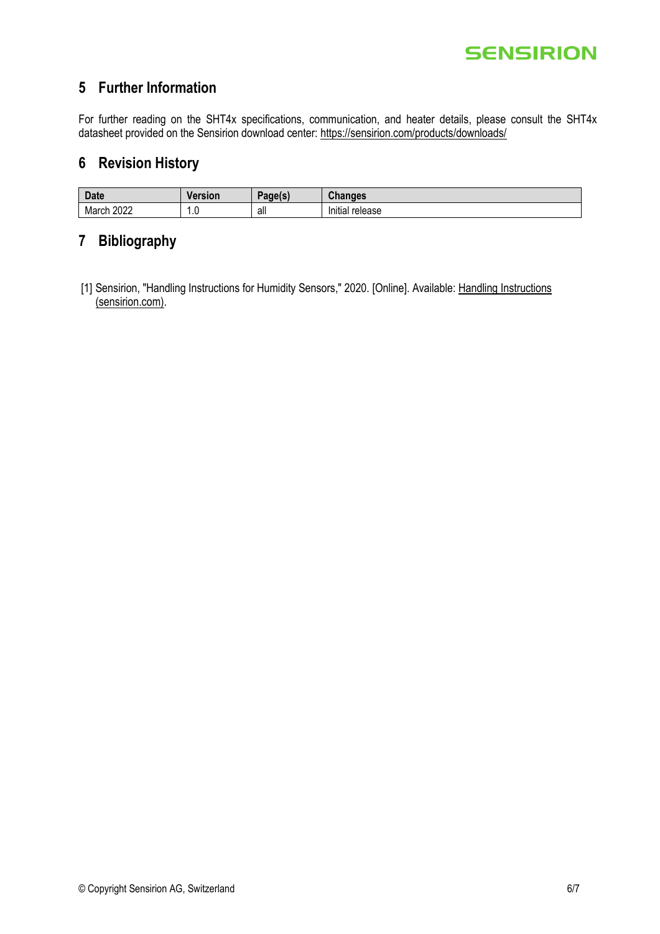## <span id="page-5-0"></span>**5 Further Information**

For further reading on the SHT4x specifications, communication, and heater details, please consult the SHT4x datasheet provided on the Sensirion download center: <https://sensirion.com/products/downloads/>

### <span id="page-5-1"></span>**6 Revision History**

| Date          | Version      | Page(s) | $\sim$<br>nanges<br>٬na   |
|---------------|--------------|---------|---------------------------|
| 2022<br>March | $\cdot\cdot$ | all     | 1.1<br>Initial<br>release |

# <span id="page-5-2"></span>**7 Bibliography**

[1] Sensirion, "Handling Instructions for Humidity Sensors," 2020. [Online]. Available: Handling Instructions [\(sensirion.com\).](https://sensirion.com/media/documents/6D95AA80/616446E3/Sensirion_AppNotes_Humidity_Sensors_Handling_Instructions.pdf)